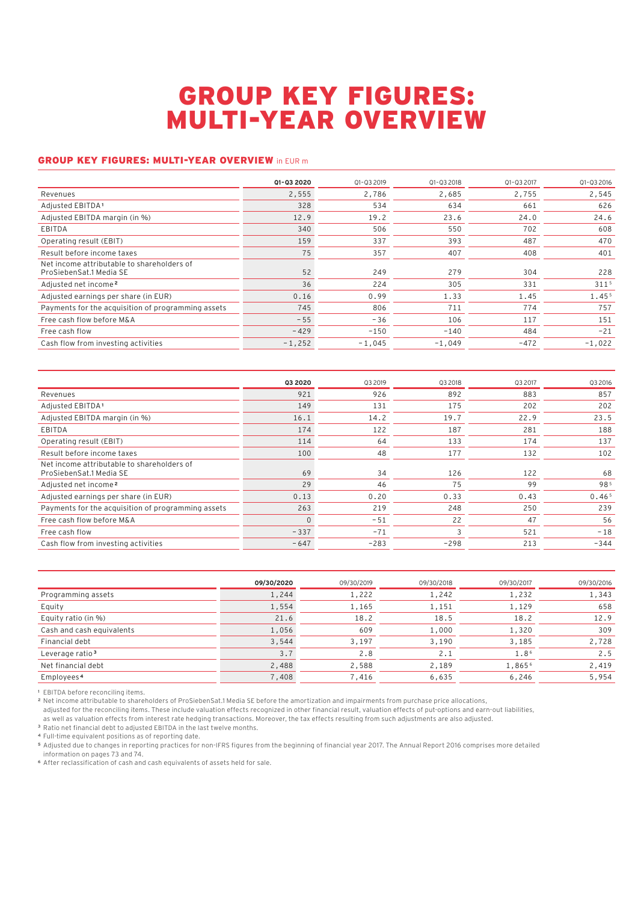## GROUP KEY FIGURES: MULTI-YEAR OVERVIEW

## GROUP KEY FIGURES: MULTI-YEAR OVERVIEW in EUR m

|                                                                       | 01-03 2020 | 01-03 2019 | 01-03 2018 | 01-03 2017 | 01-03 2016       |
|-----------------------------------------------------------------------|------------|------------|------------|------------|------------------|
| Revenues                                                              | 2,555      | 2,786      | 2,685      | 2,755      | 2,545            |
| Adjusted EBITDA <sup>1</sup>                                          | 328        | 534        | 634        | 661        | 626              |
| Adjusted EBITDA margin (in %)                                         | 12.9       | 19.2       | 23.6       | 24.0       | 24.6             |
| EBITDA                                                                | 340        | 506        | 550        | 702        | 608              |
| Operating result (EBIT)                                               | 159        | 337        | 393        | 487        | 470              |
| Result before income taxes                                            | 75         | 357        | 407        | 408        | 401              |
| Net income attributable to shareholders of<br>ProSiebenSat.1 Media SE | 52         | 249        | 279        | 304        | 228              |
| Adjusted net income <sup>2</sup>                                      | 36         | 224        | 305        | 331        | 311 <sup>5</sup> |
| Adjusted earnings per share (in EUR)                                  | 0.16       | 0.99       | 1.33       | 1.45       | 1.455            |
| Payments for the acquisition of programming assets                    | 745        | 806        | 711        | 774        | 757              |
| Free cash flow before M&A                                             | $-55$      | $-36$      | 106        | 117        | 151              |
| Free cash flow                                                        | $-429$     | $-150$     | $-140$     | 484        | $-21$            |
| Cash flow from investing activities                                   | $-1.252$   | $-1,045$   | $-1,049$   | $-472$     | $-1,022$         |

| 03 20 20 | 03 2019 | 03 2018 | Q3 2017 | Q3 2016           |
|----------|---------|---------|---------|-------------------|
| 921      | 926     | 892     | 883     | 857               |
| 149      | 131     | 175     | 202     | 202               |
| 16.1     | 14.2    | 19.7    | 22.9    | 23.5              |
| 174      | 122     | 187     | 281     | 188               |
| 114      | 64      | 133     | 174     | 137               |
| 100      | 48      | 177     | 132     | 102               |
| 69       | 34      | 126     | 122     | 68                |
| 29       | 46      | 75      | 99      | 985               |
| 0.13     | 0.20    | 0.33    | 0.43    | 0.46 <sup>5</sup> |
| 263      | 219     | 248     | 250     | 239               |
| $\Omega$ | $-51$   | 22      | 47      | 56                |
| $-337$   | $-71$   | 3       | 521     | $-18$             |
| $-647$   | $-283$  | $-298$  | 213     | $-344$            |
|          |         |         |         |                   |

|                             | 09/30/2020 | 09/30/2019 | 09/30/2018 | 09/30/2017 | 09/30/2016 |
|-----------------------------|------------|------------|------------|------------|------------|
| Programming assets          | 1,244      | 1,222      | 1,242      | 1,232      | 1,343      |
| Equity                      | 1,554      | 1,165      | 1,151      | 1,129      | 658        |
| Equity ratio (in %)         | 21.6       | 18.2       | 18.5       | 18.2       | 12.9       |
| Cash and cash equivalents   | 1,056      | 609        | 1,000      | 1,320      | 309        |
| Financial debt              | 3,544      | 3,197      | 3,190      | 3,185      | 2,728      |
| Leverage ratio <sup>3</sup> | 3.7        | 2.8        | 2.1        | 1.86       | 2.5        |
| Net financial debt          | 2,488      | 2,588      | 2,189      | 1,8656     | 2,419      |
| Employees <sup>4</sup>      | 7,408      | 7,416      | 6,635      | 6,246      | 5,954      |

**<sup>1</sup>** EBITDA before reconciling items.

**<sup>2</sup>** Net income attributable to shareholders of ProSiebenSat.1 Media SE before the amortization and impairments from purchase price allocations,

adjusted for the reconciling items. These include valuation effects recognized in other financial result, valuation effects of put-options and earn-out liabilities,

as well as valuation effects from interest rate hedging transactions. Moreover, the tax effects resulting from such adjustments are also adjusted.

**<sup>3</sup>** Ratio net financial debt to adjusted EBITDA in the last twelve months.

**<sup>4</sup>** Full-time equivalent positions as of reporting date.

**<sup>5</sup>** Adjusted due to changes in reporting practices for non-IFRS figures from the beginning of financial year 2017. The Annual Report 2016 comprises more detailed information on pages 73 and 74.

**<sup>6</sup>** After reclassification of cash and cash equivalents of assets held for sale.